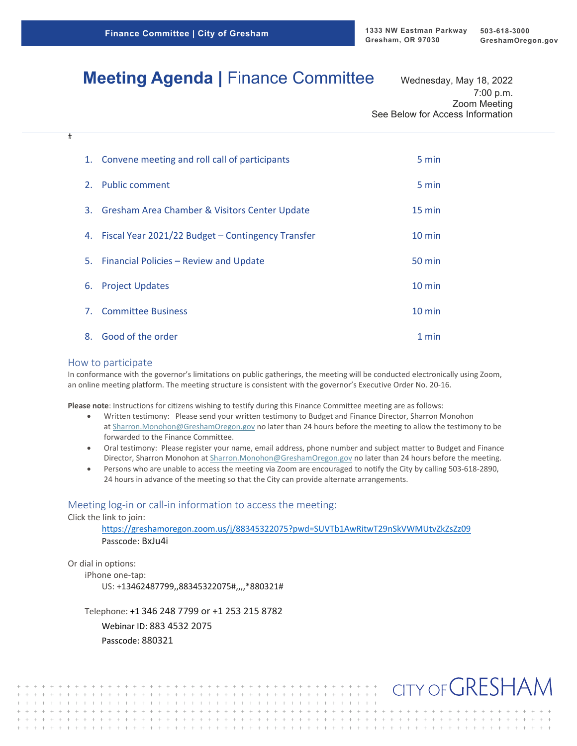# **Meeting Agenda | Finance Committee Wednesday, May 18, 2022**

7:00 p.m. Zoom Meeting See Below for Access Information

|    | 1. Convene meeting and roll call of participants     | 5 min            |
|----|------------------------------------------------------|------------------|
|    | 2. Public comment                                    | 5 min            |
|    | 3. Gresham Area Chamber & Visitors Center Update     | $15 \text{ min}$ |
|    | 4. Fiscal Year 2021/22 Budget - Contingency Transfer | $10 \text{ min}$ |
|    | 5. Financial Policies - Review and Update            | 50 min           |
|    | 6. Project Updates                                   | $10 \text{ min}$ |
|    | 7. Committee Business                                | $10 \text{ min}$ |
| 8. | Good of the order                                    | 1 min            |

#### How to participate

 $\overline{\pm}$ 

In conformance with the governor's limitations on public gatherings, the meeting will be conducted electronically using Zoom, an online meeting platform. The meeting structure is consistent with the governor's Executive Order No. 20‐16.

**Please note**: Instructions for citizens wishing to testify during this Finance Committee meeting are as follows:

- Written testimony: Please send your written testimony to Budget and Finance Director, Sharron Monohon at Sharron.Monohon@GreshamOregon.gov no later than 24 hours before the meeting to allow the testimony to be forwarded to the Finance Committee.
- Oral testimony: Please register your name, email address, phone number and subject matter to Budget and Finance Director, Sharron Monohon at Sharron.Monohon@GreshamOregon.gov no later than 24 hours before the meeting.
- Persons who are unable to access the meeting via Zoom are encouraged to notify the City by calling 503‐618‐2890, 24 hours in advance of the meeting so that the City can provide alternate arrangements.

#### Meeting log-in or call-in information to access the meeting:

Click the link to join:

https://greshamoregon.zoom.us/j/88345322075?pwd=SUVTb1AwRitwT29nSkVWMUtvZkZsZz09 Passcode: BxJu4i

Or dial in options:

 $+ + + + + + + + + + +$ 

iPhone one‐tap: US: +13462487799,,88345322075#,,,,\*880321#

Telephone: +1 346 248 7799 or +1 253 215 8782

 $+ + + + + + + +$  $+ + + + + + + + + + + +$ 

 $+ + + + + +$ 

Webinar ID: 883 4532 2075 Passcode: 880321

 $\,+\,$   $\,$   $\,+\,$